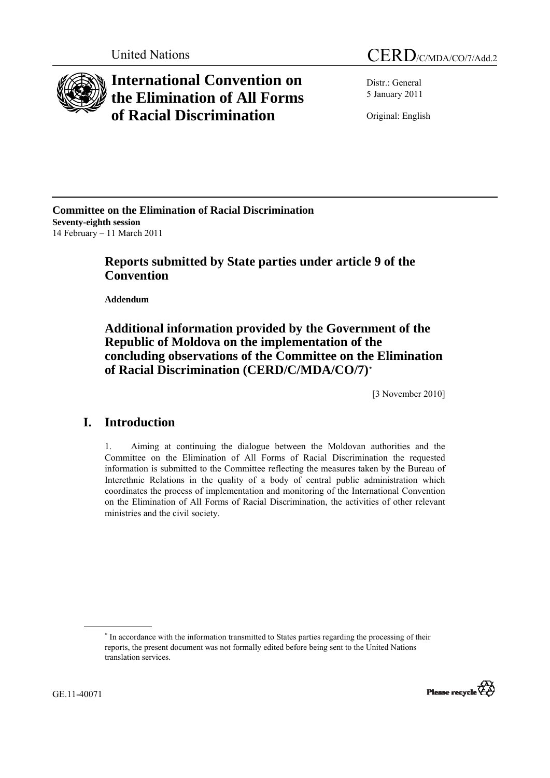

# **International Convention on the Elimination of All Forms of Racial Discrimination**

Distr.: General 5 January 2011

Original: English

**Committee on the Elimination of Racial Discrimination Seventy-eighth session**  14 February – 11 March 2011

# **Reports submitted by State parties under article 9 of the Convention**

 **Addendum** 

# **Additional information provided by the Government of the Republic of Moldova on the implementation of the concluding observations of the Committee on the Elimination of Racial Discrimination (CERD/C/MDA/CO/7)[\\*](#page-0-0)**

[3 November 2010]

#### **I. Introduction**

1. Aiming at continuing the dialogue between the Moldovan authorities and the Committee on the Elimination of All Forms of Racial Discrimination the requested information is submitted to the Committee reflecting the measures taken by the Bureau of Interethnic Relations in the quality of a body of central public administration which coordinates the process of implementation and monitoring of the International Convention on the Elimination of All Forms of Racial Discrimination, the activities of other relevant ministries and the civil society.

<span id="page-0-0"></span> <sup>∗</sup> <sup>\*</sup> In accordance with the information transmitted to States parties regarding the processing of their reports, the present document was not formally edited before being sent to the United Nations translation services.

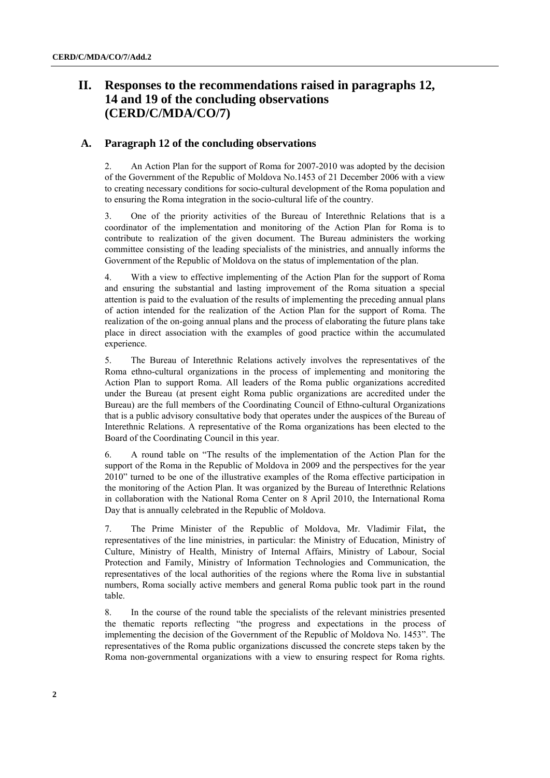# **II. Responses to the recommendations raised in paragraphs 12, 14 and 19 of the concluding observations (CERD/C/MDA/CO/7)**

#### **A. Paragraph 12 of the concluding observations**

2. An Action Plan for the support of Roma for 2007-2010 was adopted by the decision of the Government of the Republic of Moldova No.1453 of 21 December 2006 with a view to creating necessary conditions for socio-cultural development of the Roma population and to ensuring the Roma integration in the socio-cultural life of the country.

3. One of the priority activities of the Bureau of Interethnic Relations that is a coordinator of the implementation and monitoring of the Action Plan for Roma is to contribute to realization of the given document. The Bureau administers the working committee consisting of the leading specialists of the ministries, and annually informs the Government of the Republic of Moldova on the status of implementation of the plan.

4. With a view to effective implementing of the Action Plan for the support of Roma and ensuring the substantial and lasting improvement of the Roma situation a special attention is paid to the evaluation of the results of implementing the preceding annual plans of action intended for the realization of the Action Plan for the support of Roma. The realization of the on-going annual plans and the process of elaborating the future plans take place in direct association with the examples of good practice within the accumulated experience.

5. The Bureau of Interethnic Relations actively involves the representatives of the Roma ethno-cultural organizations in the process of implementing and monitoring the Action Plan to support Roma. All leaders of the Roma public organizations accredited under the Bureau (at present eight Roma public organizations are accredited under the Bureau) are the full members of the Coordinating Council of Ethno-cultural Organizations that is a public advisory consultative body that operates under the auspices of the Bureau of Interethnic Relations. A representative of the Roma organizations has been elected to the Board of the Coordinating Council in this year.

6. A round table on "The results of the implementation of the Action Plan for the support of the Roma in the Republic of Moldova in 2009 and the perspectives for the year 2010" turned to be one of the illustrative examples of the Roma effective participation in the monitoring of the Action Plan. It was organized by the Bureau of Interethnic Relations in collaboration with the National Roma Center on 8 April 2010, the International Roma Day that is annually celebrated in the Republic of Moldova.

7. The Prime Minister of the Republic of Moldova, Mr. Vladimir Filat, the representatives of the line ministries, in particular: the Ministry of Education, Ministry of Culture, Ministry of Health, Ministry of Internal Affairs, Ministry of Labour, Social Protection and Family, Ministry of Information Technologies and Communication, the representatives of the local authorities of the regions where the Roma live in substantial numbers, Roma socially active members and general Roma public took part in the round table.

8. In the course of the round table the specialists of the relevant ministries presented the thematic reports reflecting "the progress and expectations in the process of implementing the decision of the Government of the Republic of Moldova No. 1453". The representatives of the Roma public organizations discussed the concrete steps taken by the Roma non-governmental organizations with a view to ensuring respect for Roma rights.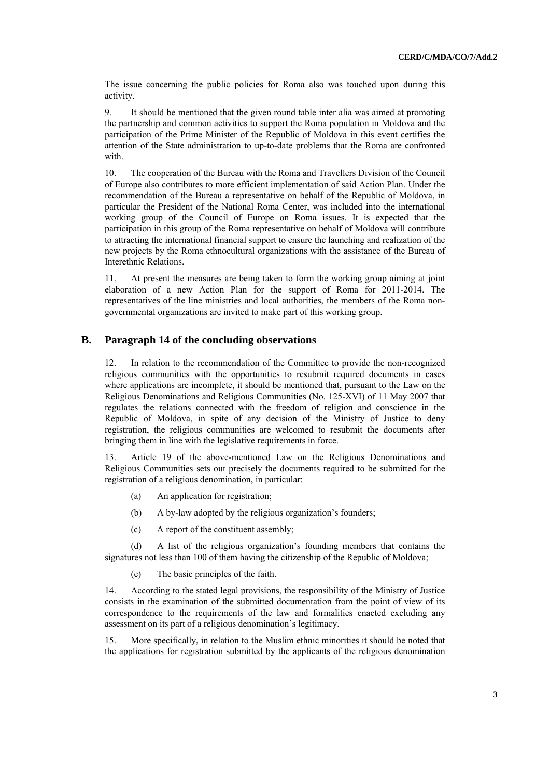The issue concerning the public policies for Roma also was touched upon during this activity.

9. It should be mentioned that the given round table inter alia was aimed at promoting the partnership and common activities to support the Roma population in Moldova and the participation of the Prime Minister of the Republic of Moldova in this event certifies the attention of the State administration to up-to-date problems that the Roma are confronted with

10. The cooperation of the Bureau with the Roma and Travellers Division of the Council of Europe also contributes to more efficient implementation of said Action Plan. Under the recommendation of the Bureau a representative on behalf of the Republic of Moldova, in particular the President of the National Roma Center, was included into the international working group of the Council of Europe on Roma issues. It is expected that the participation in this group of the Roma representative on behalf of Moldova will contribute to attracting the international financial support to ensure the launching and realization of the new projects by the Roma ethnocultural organizations with the assistance of the Bureau of Interethnic Relations.

11. At present the measures are being taken to form the working group aiming at joint elaboration of a new Action Plan for the support of Roma for 2011-2014. The representatives of the line ministries and local authorities, the members of the Roma nongovernmental organizations are invited to make part of this working group.

#### **B. Paragraph 14 of the concluding observations**

12. In relation to the recommendation of the Committee to provide the non-recognized religious communities with the opportunities to resubmit required documents in cases where applications are incomplete, it should be mentioned that, pursuant to the Law on the Religious Denominations and Religious Communities (No. 125-XVI) of 11 May 2007 that regulates the relations connected with the freedom of religion and conscience in the Republic of Moldova, in spite of any decision of the Ministry of Justice to deny registration, the religious communities are welcomed to resubmit the documents after bringing them in line with the legislative requirements in force.

13. Article 19 of the above-mentioned Law on the Religious Denominations and Religious Communities sets out precisely the documents required to be submitted for the registration of a religious denomination, in particular:

- (a) An application for registration;
- (b) A by-law adopted by the religious organization's founders;
- (c) A report of the constituent assembly;

(d) A list of the religious organization's founding members that contains the signatures not less than 100 of them having the citizenship of the Republic of Moldova;

(e) The basic principles of the faith.

14. According to the stated legal provisions, the responsibility of the Ministry of Justice consists in the examination of the submitted documentation from the point of view of its correspondence to the requirements of the law and formalities enacted excluding any assessment on its part of a religious denomination's legitimacy.

15. More specifically, in relation to the Muslim ethnic minorities it should be noted that the applications for registration submitted by the applicants of the religious denomination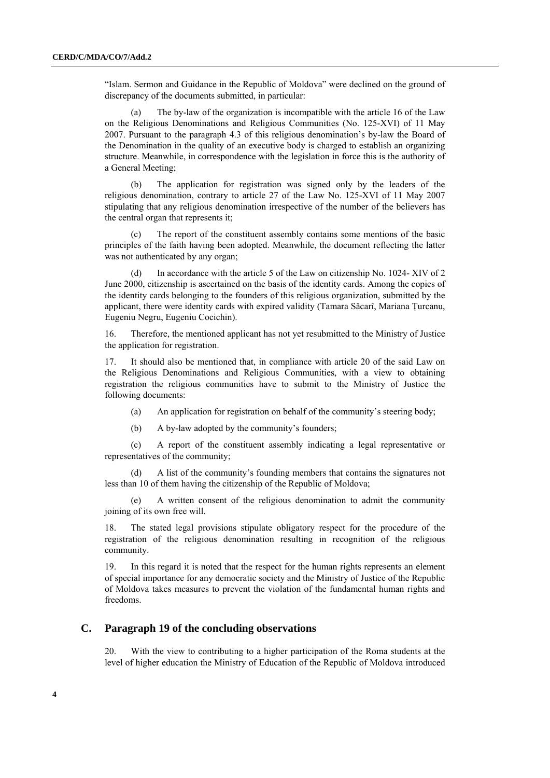"Islam. Sermon and Guidance in the Republic of Moldova" were declined on the ground of discrepancy of the documents submitted, in particular:

(a) The by-law of the organization is incompatible with the article 16 of the Law on the Religious Denominations and Religious Communities (No. 125-XVI) of 11 May 2007. Pursuant to the paragraph 4.3 of this religious denomination's by-law the Board of the Denomination in the quality of an executive body is charged to establish an organizing structure. Meanwhile, in correspondence with the legislation in force this is the authority of a General Meeting;

The application for registration was signed only by the leaders of the religious denomination, contrary to article 27 of the Law No. 125-XVI of 11 May 2007 stipulating that any religious denomination irrespective of the number of the believers has the central organ that represents it;

(c) The report of the constituent assembly contains some mentions of the basic principles of the faith having been adopted. Meanwhile, the document reflecting the latter was not authenticated by any organ;

(d) In accordance with the article 5 of the Law on citizenship No. 1024- XIV of 2 June 2000, citizenship is ascertained on the basis of the identity cards. Among the copies of the identity cards belonging to the founders of this religious organization, submitted by the applicant, there were identity cards with expired validity (Tamara Săcarî, Mariana Ţurcanu, Eugeniu Negru, Eugeniu Cocichin).

16. Therefore, the mentioned applicant has not yet resubmitted to the Ministry of Justice the application for registration.

17. It should also be mentioned that, in compliance with article 20 of the said Law on the Religious Denominations and Religious Communities, with a view to obtaining registration the religious communities have to submit to the Ministry of Justice the following documents:

(a) An application for registration on behalf of the community's steering body;

(b) A by-law adopted by the community's founders;

(c) A report of the constituent assembly indicating a legal representative or representatives of the community;

(d) A list of the community's founding members that contains the signatures not less than 10 of them having the citizenship of the Republic of Moldova;

(e) A written consent of the religious denomination to admit the community joining of its own free will.

18. The stated legal provisions stipulate obligatory respect for the procedure of the registration of the religious denomination resulting in recognition of the religious community.

19. In this regard it is noted that the respect for the human rights represents an element of special importance for any democratic society and the Ministry of Justice of the Republic of Moldova takes measures to prevent the violation of the fundamental human rights and freedoms.

#### **C. Paragraph 19 of the concluding observations**

20. With the view to contributing to a higher participation of the Roma students at the level of higher education the Ministry of Education of the Republic of Moldova introduced